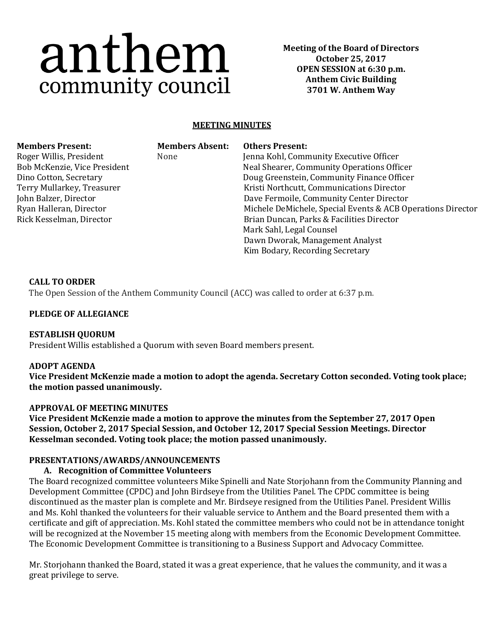# anthem community council

**Meeting of the Board of Directors October 25, 2017 OPEN SESSION at 6:30 p.m. Anthem Civic Building 3701 W. Anthem Way**

# **MEETING MINUTES**

| MENIDELS L'I ESENT.          |
|------------------------------|
| Roger Willis, President      |
| Bob McKenzie, Vice President |
| Dino Cotton, Secretary       |
| Terry Mullarkey, Treasurer   |

John Balzer, Director Ryan Halleran, Director Rick Kesselman, Director None

**Members Present: Members Absent: Others Present:**

Jenna Kohl, Community Executive Officer Neal Shearer, Community Operations Officer Doug Greenstein, Community Finance Officer Kristi Northcutt, Communications Director Dave Fermoile, Community Center Director Michele DeMichele, Special Events & ACB Operations Director Brian Duncan, Parks & Facilities Director Mark Sahl, Legal Counsel Dawn Dworak, Management Analyst Kim Bodary, Recording Secretary

#### **CALL TO ORDER**

The Open Session of the Anthem Community Council (ACC) was called to order at 6:37 p.m.

#### **PLEDGE OF ALLEGIANCE**

## **ESTABLISH QUORUM**

President Willis established a Quorum with seven Board members present.

#### **ADOPT AGENDA**

**Vice President McKenzie made a motion to adopt the agenda. Secretary Cotton seconded. Voting took place; the motion passed unanimously.**

#### **APPROVAL OF MEETING MINUTES**

**Vice President McKenzie made a motion to approve the minutes from the September 27, 2017 Open Session, October 2, 2017 Special Session, and October 12, 2017 Special Session Meetings. Director Kesselman seconded. Voting took place; the motion passed unanimously.** 

#### **PRESENTATIONS/AWARDS/ANNOUNCEMENTS**

#### **A. Recognition of Committee Volunteers**

The Board recognized committee volunteers Mike Spinelli and Nate Storjohann from the Community Planning and Development Committee (CPDC) and John Birdseye from the Utilities Panel. The CPDC committee is being discontinued as the master plan is complete and Mr. Birdseye resigned from the Utilities Panel. President Willis and Ms. Kohl thanked the volunteers for their valuable service to Anthem and the Board presented them with a certificate and gift of appreciation. Ms. Kohl stated the committee members who could not be in attendance tonight will be recognized at the November 15 meeting along with members from the Economic Development Committee. The Economic Development Committee is transitioning to a Business Support and Advocacy Committee.

Mr. Storjohann thanked the Board, stated it was a great experience, that he values the community, and it was a great privilege to serve.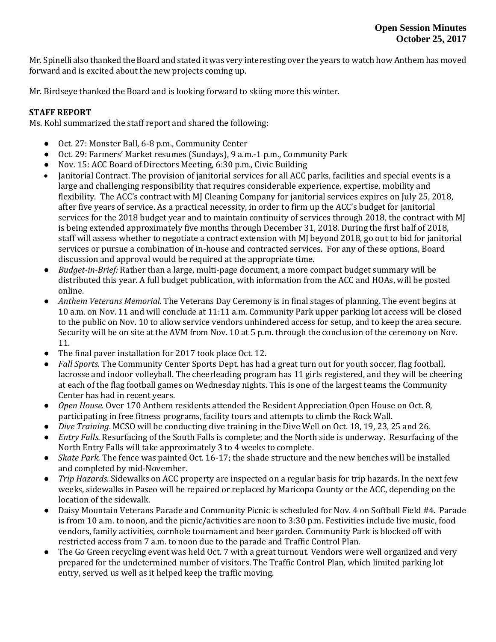Mr. Spinelli also thanked the Board and stated it was very interesting over the years to watch how Anthem has moved forward and is excited about the new projects coming up.

Mr. Birdseye thanked the Board and is looking forward to skiing more this winter.

# **STAFF REPORT**

Ms. Kohl summarized the staff report and shared the following:

- Oct. 27: Monster Ball, 6-8 p.m., Community Center
- Oct. 29: Farmers' Market resumes (Sundays), 9 a.m. -1 p.m., Community Park
- Nov. 15: ACC Board of Directors Meeting, 6:30 p.m., Civic Building
- Janitorial Contract. The provision of janitorial services for all ACC parks, facilities and special events is a large and challenging responsibility that requires considerable experience, expertise, mobility and flexibility. The ACC's contract with MJ Cleaning Company for janitorial services expires on July 25, 2018, after five years of service. As a practical necessity, in order to firm up the ACC's budget for janitorial services for the 2018 budget year and to maintain continuity of services through 2018, the contract with MJ is being extended approximately five months through December 31, 2018. During the first half of 2018, staff will assess whether to negotiate a contract extension with MJ beyond 2018, go out to bid for janitorial services or pursue a combination of in-house and contracted services. For any of these options, Board discussion and approval would be required at the appropriate time.
- *Budget-in-Brief:* Rather than a large, multi-page document, a more compact budget summary will be distributed this year. A full budget publication, with information from the ACC and HOAs, will be posted online.
- *Anthem Veterans Memorial.* The Veterans Day Ceremony is in final stages of planning. The event begins at 10 a.m. on Nov. 11 and will conclude at 11:11 a.m. Community Park upper parking lot access will be closed to the public on Nov. 10 to allow service vendors unhindered access for setup, and to keep the area secure. Security will be on site at the AVM from Nov. 10 at 5 p.m. through the conclusion of the ceremony on Nov. 11.
- The final paver installation for 2017 took place Oct. 12.
- *Fall Sports.* The Community Center Sports Dept. has had a great turn out for youth soccer, flag football, lacrosse and indoor volleyball. The cheerleading program has 11 girls registered, and they will be cheering at each of the flag football games on Wednesday nights. This is one of the largest teams the Community Center has had in recent years.
- *Open House.* Over 170 Anthem residents attended the Resident Appreciation Open House on Oct. 8, participating in free fitness programs, facility tours and attempts to climb the Rock Wall.
- *Dive Training*. MCSO will be conducting dive training in the Dive Well on Oct. 18, 19, 23, 25 and 26.
- *Entry Falls.* Resurfacing of the South Falls is complete; and the North side is underway. Resurfacing of the North Entry Falls will take approximately 3 to 4 weeks to complete.
- *Skate Park.* The fence was painted Oct. 16-17; the shade structure and the new benches will be installed and completed by mid-November.
- *Trip Hazards.* Sidewalks on ACC property are inspected on a regular basis for trip hazards. In the next few weeks, sidewalks in Paseo will be repaired or replaced by Maricopa County or the ACC, depending on the location of the sidewalk.
- Daisy Mountain Veterans Parade and Community Picnic is scheduled for Nov. 4 on Softball Field #4. Parade is from 10 a.m. to noon, and the picnic/activities are noon to 3:30 p.m. Festivities include live music, food vendors, family activities, cornhole tournament and beer garden. Community Park is blocked off with restricted access from 7 a.m. to noon due to the parade and Traffic Control Plan.
- The Go Green recycling event was held Oct. 7 with a great turnout. Vendors were well organized and very prepared for the undetermined number of visitors. The Traffic Control Plan, which limited parking lot entry, served us well as it helped keep the traffic moving.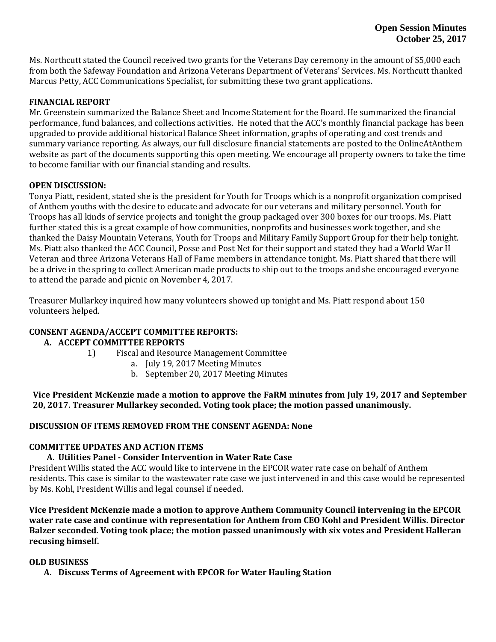Ms. Northcutt stated the Council received two grants for the Veterans Day ceremony in the amount of \$5,000 each from both the Safeway Foundation and Arizona Veterans Department of Veterans' Services. Ms. Northcutt thanked Marcus Petty, ACC Communications Specialist, for submitting these two grant applications.

## **FINANCIAL REPORT**

Mr. Greenstein summarized the Balance Sheet and Income Statement for the Board. He summarized the financial performance, fund balances, and collections activities. He noted that the ACC's monthly financial package has been upgraded to provide additional historical Balance Sheet information, graphs of operating and cost trends and summary variance reporting. As always, our full disclosure financial statements are posted to the OnlineAtAnthem website as part of the documents supporting this open meeting. We encourage all property owners to take the time to become familiar with our financial standing and results.

## **OPEN DISCUSSION:**

Tonya Piatt, resident, stated she is the president for Youth for Troops which is a nonprofit organization comprised of Anthem youths with the desire to educate and advocate for our veterans and military personnel. Youth for Troops has all kinds of service projects and tonight the group packaged over 300 boxes for our troops. Ms. Piatt further stated this is a great example of how communities, nonprofits and businesses work together, and she thanked the Daisy Mountain Veterans, Youth for Troops and Military Family Support Group for their help tonight. Ms. Piatt also thanked the ACC Council, Posse and Post Net for their support and stated they had a World War II Veteran and three Arizona Veterans Hall of Fame members in attendance tonight. Ms. Piatt shared that there will be a drive in the spring to collect American made products to ship out to the troops and she encouraged everyone to attend the parade and picnic on November 4, 2017.

Treasurer Mullarkey inquired how many volunteers showed up tonight and Ms. Piatt respond about 150 volunteers helped.

## **CONSENT AGENDA/ACCEPT COMMITTEE REPORTS:**

## **A. ACCEPT COMMITTEE REPORTS**

- 1) Fiscal and Resource Management Committee
	- a. July 19, 2017 Meeting Minutes
	- b. September 20, 2017 Meeting Minutes

**Vice President McKenzie made a motion to approve the FaRM minutes from July 19, 2017 and September 20, 2017. Treasurer Mullarkey seconded. Voting took place; the motion passed unanimously.**

## **DISCUSSION OF ITEMS REMOVED FROM THE CONSENT AGENDA: None**

## **COMMITTEE UPDATES AND ACTION ITEMS**

## **A. Utilities Panel - Consider Intervention in Water Rate Case**

President Willis stated the ACC would like to intervene in the EPCOR water rate case on behalf of Anthem residents. This case is similar to the wastewater rate case we just intervened in and this case would be represented by Ms. Kohl, President Willis and legal counsel if needed.

**Vice President McKenzie made a motion to approve Anthem Community Council intervening in the EPCOR water rate case and continue with representation for Anthem from CEO Kohl and President Willis. Director Balzer seconded. Voting took place; the motion passed unanimously with six votes and President Halleran recusing himself.**

## **OLD BUSINESS**

**A. Discuss Terms of Agreement with EPCOR for Water Hauling Station**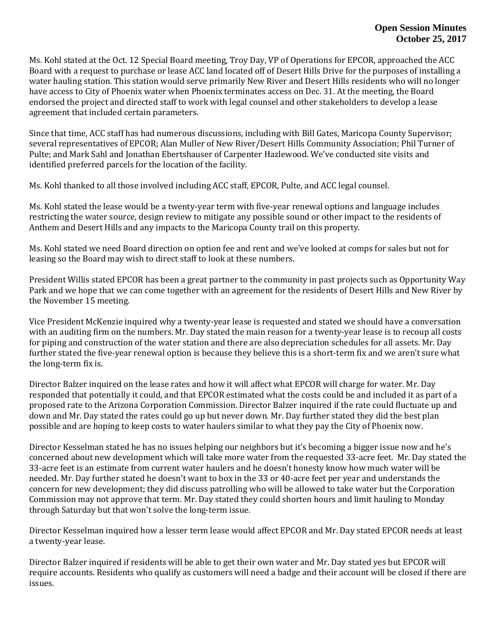Ms. Kohl stated at the Oct. 12 Special Board meeting, Troy Day, VP of Operations for EPCOR, approached the ACC Board with a request to purchase or lease ACC land located off of Desert Hills Drive for the purposes of installing a water hauling station. This station would serve primarily New River and Desert Hills residents who will no longer have access to City of Phoenix water when Phoenix terminates access on Dec. 31. At the meeting, the Board endorsed the project and directed staff to work with legal counsel and other stakeholders to develop a lease agreement that included certain parameters.

Since that time, ACC staff has had numerous discussions, including with Bill Gates, Maricopa County Supervisor; several representatives of EPCOR; Alan Muller of New River/Desert Hills Community Association; Phil Turner of Pulte; and Mark Sahl and Jonathan Ebertshauser of Carpenter Hazlewood. We've conducted site visits and identified preferred parcels for the location of the facility.

Ms. Kohl thanked to all those involved including ACC staff, EPCOR, Pulte, and ACC legal counsel.

Ms. Kohl stated the lease would be a twenty-year term with five-year renewal options and language includes restricting the water source, design review to mitigate any possible sound or other impact to the residents of Anthem and Desert Hills and any impacts to the Maricopa County trail on this property.

Ms. Kohl stated we need Board direction on option fee and rent and we've looked at comps for sales but not for leasing so the Board may wish to direct staff to look at these numbers.

President Willis stated EPCOR has been a great partner to the community in past projects such as Opportunity Way Park and we hope that we can come together with an agreement for the residents of Desert Hills and New River by the November 15 meeting.

Vice President McKenzie inquired why a twenty-year lease is requested and stated we should have a conversation with an auditing firm on the numbers. Mr. Day stated the main reason for a twenty-year lease is to recoup all costs for piping and construction of the water station and there are also depreciation schedules for all assets. Mr. Day further stated the five-year renewal option is because they believe this is a short-term fix and we aren't sure what the long-term fix is.

Director Balzer inquired on the lease rates and how it will affect what EPCOR will charge for water. Mr. Day responded that potentially it could, and that EPCOR estimated what the costs could be and included it as part of a proposed rate to the Arizona Corporation Commission. Director Balzer inquired if the rate could fluctuate up and down and Mr. Day stated the rates could go up but never down. Mr. Day further stated they did the best plan possible and are hoping to keep costs to water haulers similar to what they pay the City of Phoenix now.

Director Kesselman stated he has no issues helping our neighbors but it's becoming a bigger issue now and he's concerned about new development which will take more water from the requested 33-acre feet. Mr. Day stated the 33-acre feet is an estimate from current water haulers and he doesn't honesty know how much water will be needed. Mr. Day further stated he doesn't want to box in the 33 or 40-acre feet per year and understands the concern for new development; they did discuss patrolling who will be allowed to take water but the Corporation Commission may not approve that term. Mr. Day stated they could shorten hours and limit hauling to Monday through Saturday but that won't solve the long-term issue.

Director Kesselman inquired how a lesser term lease would affect EPCOR and Mr. Day stated EPCOR needs at least a twenty-year lease.

Director Balzer inquired if residents will be able to get their own water and Mr. Day stated yes but EPCOR will require accounts. Residents who qualify as customers will need a badge and their account will be closed if there are issues.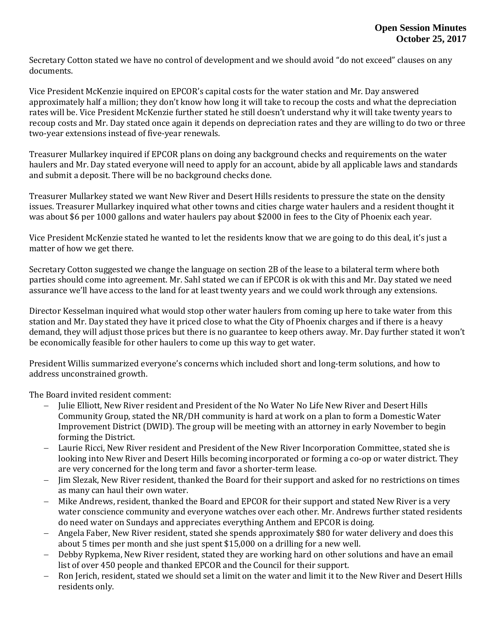Secretary Cotton stated we have no control of development and we should avoid "do not exceed" clauses on any documents.

Vice President McKenzie inquired on EPCOR's capital costs for the water station and Mr. Day answered approximately half a million; they don't know how long it will take to recoup the costs and what the depreciation rates will be. Vice President McKenzie further stated he still doesn't understand why it will take twenty years to recoup costs and Mr. Day stated once again it depends on depreciation rates and they are willing to do two or three two-year extensions instead of five-year renewals.

Treasurer Mullarkey inquired if EPCOR plans on doing any background checks and requirements on the water haulers and Mr. Day stated everyone will need to apply for an account, abide by all applicable laws and standards and submit a deposit. There will be no background checks done.

Treasurer Mullarkey stated we want New River and Desert Hills residents to pressure the state on the density issues. Treasurer Mullarkey inquired what other towns and cities charge water haulers and a resident thought it was about \$6 per 1000 gallons and water haulers pay about \$2000 in fees to the City of Phoenix each year.

Vice President McKenzie stated he wanted to let the residents know that we are going to do this deal, it's just a matter of how we get there.

Secretary Cotton suggested we change the language on section 2B of the lease to a bilateral term where both parties should come into agreement. Mr. Sahl stated we can if EPCOR is ok with this and Mr. Day stated we need assurance we'll have access to the land for at least twenty years and we could work through any extensions.

Director Kesselman inquired what would stop other water haulers from coming up here to take water from this station and Mr. Day stated they have it priced close to what the City of Phoenix charges and if there is a heavy demand, they will adjust those prices but there is no guarantee to keep others away. Mr. Day further stated it won't be economically feasible for other haulers to come up this way to get water.

President Willis summarized everyone's concerns which included short and long-term solutions, and how to address unconstrained growth.

The Board invited resident comment:

- Julie Elliott, New River resident and President of the No Water No Life New River and Desert Hills Community Group, stated the NR/DH community is hard at work on a plan to form a Domestic Water Improvement District (DWID). The group will be meeting with an attorney in early November to begin forming the District.
- Laurie Ricci, New River resident and President of the New River Incorporation Committee, stated she is looking into New River and Desert Hills becoming incorporated or forming a co-op or water district. They are very concerned for the long term and favor a shorter-term lease.
- Jim Slezak, New River resident, thanked the Board for their support and asked for no restrictions on times as many can haul their own water.
- Mike Andrews, resident, thanked the Board and EPCOR for their support and stated New River is a very water conscience community and everyone watches over each other. Mr. Andrews further stated residents do need water on Sundays and appreciates everything Anthem and EPCOR is doing.
- Angela Faber, New River resident, stated she spends approximately \$80 for water delivery and does this about 5 times per month and she just spent \$15,000 on a drilling for a new well.
- Debby Rypkema, New River resident, stated they are working hard on other solutions and have an email list of over 450 people and thanked EPCOR and the Council for their support.
- Ron Jerich, resident, stated we should set a limit on the water and limit it to the New River and Desert Hills residents only.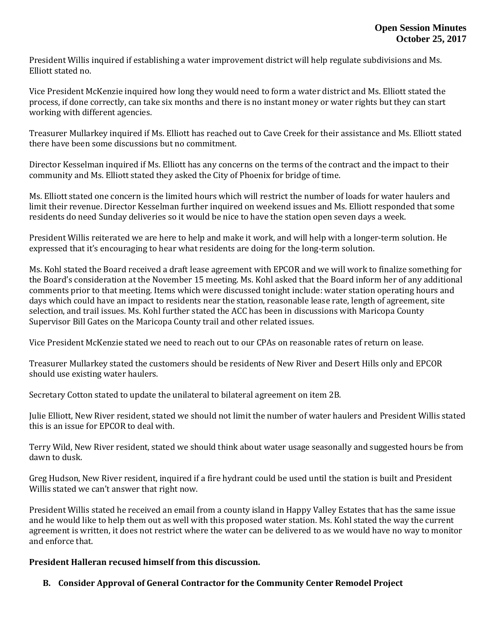President Willis inquired if establishing a water improvement district will help regulate subdivisions and Ms. Elliott stated no.

Vice President McKenzie inquired how long they would need to form a water district and Ms. Elliott stated the process, if done correctly, can take six months and there is no instant money or water rights but they can start working with different agencies.

Treasurer Mullarkey inquired if Ms. Elliott has reached out to Cave Creek for their assistance and Ms. Elliott stated there have been some discussions but no commitment.

Director Kesselman inquired if Ms. Elliott has any concerns on the terms of the contract and the impact to their community and Ms. Elliott stated they asked the City of Phoenix for bridge of time.

Ms. Elliott stated one concern is the limited hours which will restrict the number of loads for water haulers and limit their revenue. Director Kesselman further inquired on weekend issues and Ms. Elliott responded that some residents do need Sunday deliveries so it would be nice to have the station open seven days a week.

President Willis reiterated we are here to help and make it work, and will help with a longer-term solution. He expressed that it's encouraging to hear what residents are doing for the long-term solution.

Ms. Kohl stated the Board received a draft lease agreement with EPCOR and we will work to finalize something for the Board's consideration at the November 15 meeting. Ms. Kohl asked that the Board inform her of any additional comments prior to that meeting. Items which were discussed tonight include: water station operating hours and days which could have an impact to residents near the station, reasonable lease rate, length of agreement, site selection, and trail issues. Ms. Kohl further stated the ACC has been in discussions with Maricopa County Supervisor Bill Gates on the Maricopa County trail and other related issues.

Vice President McKenzie stated we need to reach out to our CPAs on reasonable rates of return on lease.

Treasurer Mullarkey stated the customers should be residents of New River and Desert Hills only and EPCOR should use existing water haulers.

Secretary Cotton stated to update the unilateral to bilateral agreement on item 2B.

Julie Elliott, New River resident, stated we should not limit the number of water haulers and President Willis stated this is an issue for EPCOR to deal with.

Terry Wild, New River resident, stated we should think about water usage seasonally and suggested hours be from dawn to dusk.

Greg Hudson, New River resident, inquired if a fire hydrant could be used until the station is built and President Willis stated we can't answer that right now.

President Willis stated he received an email from a county island in Happy Valley Estates that has the same issue and he would like to help them out as well with this proposed water station. Ms. Kohl stated the way the current agreement is written, it does not restrict where the water can be delivered to as we would have no way to monitor and enforce that.

**President Halleran recused himself from this discussion.**

 **B. Consider Approval of General Contractor for the Community Center Remodel Project**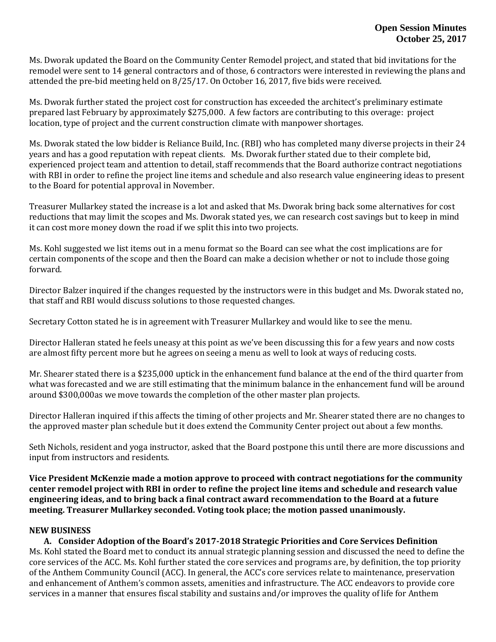Ms. Dworak updated the Board on the Community Center Remodel project, and stated that bid invitations for the remodel were sent to 14 general contractors and of those, 6 contractors were interested in reviewing the plans and attended the pre-bid meeting held on 8/25/17. On October 16, 2017, five bids were received.

Ms. Dworak further stated the project cost for construction has exceeded the architect's preliminary estimate prepared last February by approximately \$275,000. A few factors are contributing to this overage: project location, type of project and the current construction climate with manpower shortages.

Ms. Dworak stated the low bidder is Reliance Build, Inc. (RBI) who has completed many diverse projects in their 24 years and has a good reputation with repeat clients. Ms. Dworak further stated due to their complete bid, experienced project team and attention to detail, staff recommends that the Board authorize contract negotiations with RBI in order to refine the project line items and schedule and also research value engineering ideas to present to the Board for potential approval in November.

Treasurer Mullarkey stated the increase is a lot and asked that Ms. Dworak bring back some alternatives for cost reductions that may limit the scopes and Ms. Dworak stated yes, we can research cost savings but to keep in mind it can cost more money down the road if we split this into two projects.

Ms. Kohl suggested we list items out in a menu format so the Board can see what the cost implications are for certain components of the scope and then the Board can make a decision whether or not to include those going forward.

Director Balzer inquired if the changes requested by the instructors were in this budget and Ms. Dworak stated no, that staff and RBI would discuss solutions to those requested changes.

Secretary Cotton stated he is in agreement with Treasurer Mullarkey and would like to see the menu.

Director Halleran stated he feels uneasy at this point as we've been discussing this for a few years and now costs are almost fifty percent more but he agrees on seeing a menu as well to look at ways of reducing costs.

Mr. Shearer stated there is a \$235,000 uptick in the enhancement fund balance at the end of the third quarter from what was forecasted and we are still estimating that the minimum balance in the enhancement fund will be around around \$300,000as we move towards the completion of the other master plan projects.

Director Halleran inquired if this affects the timing of other projects and Mr. Shearer stated there are no changes to the approved master plan schedule but it does extend the Community Center project out about a few months.

Seth Nichols, resident and yoga instructor, asked that the Board postpone this until there are more discussions and input from instructors and residents.

**Vice President McKenzie made a motion approve to proceed with contract negotiations for the community center remodel project with RBI in order to refine the project line items and schedule and research value engineering ideas, and to bring back a final contract award recommendation to the Board at a future meeting. Treasurer Mullarkey seconded. Voting took place; the motion passed unanimously.**

## **NEW BUSINESS**

**A. Consider Adoption of the Board's 2017-2018 Strategic Priorities and Core Services Definition** Ms. Kohl stated the Board met to conduct its annual strategic planning session and discussed the need to define the core services of the ACC. Ms. Kohl further stated the core services and programs are, by definition, the top priority of the Anthem Community Council (ACC). In general, the ACC's core services relate to maintenance, preservation and enhancement of Anthem's common assets, amenities and infrastructure. The ACC endeavors to provide core services in a manner that ensures fiscal stability and sustains and/or improves the quality of life for Anthem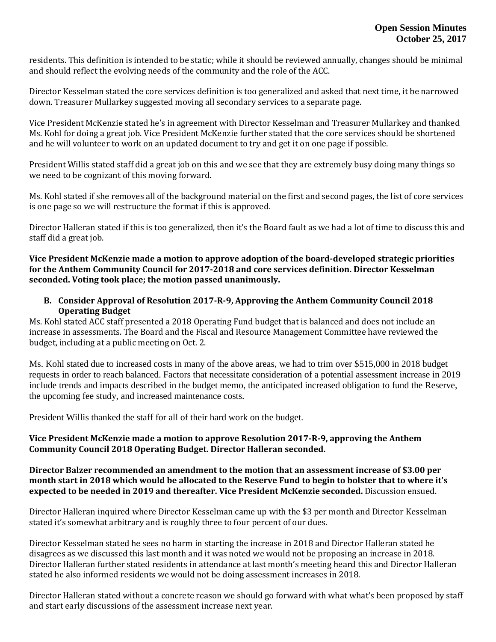residents. This definition is intended to be static; while it should be reviewed annually, changes should be minimal and should reflect the evolving needs of the community and the role of the ACC.

Director Kesselman stated the core services definition is too generalized and asked that next time, it be narrowed down. Treasurer Mullarkey suggested moving all secondary services to a separate page.

Vice President McKenzie stated he's in agreement with Director Kesselman and Treasurer Mullarkey and thanked Ms. Kohl for doing a great job. Vice President McKenzie further stated that the core services should be shortened and he will volunteer to work on an updated document to try and get it on one page if possible.

President Willis stated staff did a great job on this and we see that they are extremely busy doing many things so we need to be cognizant of this moving forward.

Ms. Kohl stated if she removes all of the background material on the first and second pages, the list of core services is one page so we will restructure the format if this is approved.

Director Halleran stated if this is too generalized, then it's the Board fault as we had a lot of time to discuss this and staff did a great job.

**Vice President McKenzie made a motion to approve adoption of the board-developed strategic priorities for the Anthem Community Council for 2017-2018 and core services definition. Director Kesselman seconded. Voting took place; the motion passed unanimously.**

**B. Consider Approval of Resolution 2017-R-9, Approving the Anthem Community Council 2018 Operating Budget**

Ms. Kohl stated ACC staff presented a 2018 Operating Fund budget that is balanced and does not include an increase in assessments. The Board and the Fiscal and Resource Management Committee have reviewed the budget, including at a public meeting on Oct. 2.

Ms. Kohl stated due to increased costs in many of the above areas, we had to trim over \$515,000 in 2018 budget requests in order to reach balanced. Factors that necessitate consideration of a potential assessment increase in 2019 include trends and impacts described in the budget memo, the anticipated increased obligation to fund the Reserve, the upcoming fee study, and increased maintenance costs.

President Willis thanked the staff for all of their hard work on the budget.

# **Vice President McKenzie made a motion to approve Resolution 2017-R-9, approving the Anthem Community Council 2018 Operating Budget. Director Halleran seconded.**

## **Director Balzer recommended an amendment to the motion that an assessment increase of \$3.00 per month start in 2018 which would be allocated to the Reserve Fund to begin to bolster that to where it's expected to be needed in 2019 and thereafter. Vice President McKenzie seconded.** Discussion ensued.

Director Halleran inquired where Director Kesselman came up with the \$3 per month and Director Kesselman stated it's somewhat arbitrary and is roughly three to four percent of our dues.

Director Kesselman stated he sees no harm in starting the increase in 2018 and Director Halleran stated he disagrees as we discussed this last month and it was noted we would not be proposing an increase in 2018. Director Halleran further stated residents in attendance at last month's meeting heard this and Director Halleran stated he also informed residents we would not be doing assessment increases in 2018.

Director Halleran stated without a concrete reason we should go forward with what what's been proposed by staff and start early discussions of the assessment increase next year.